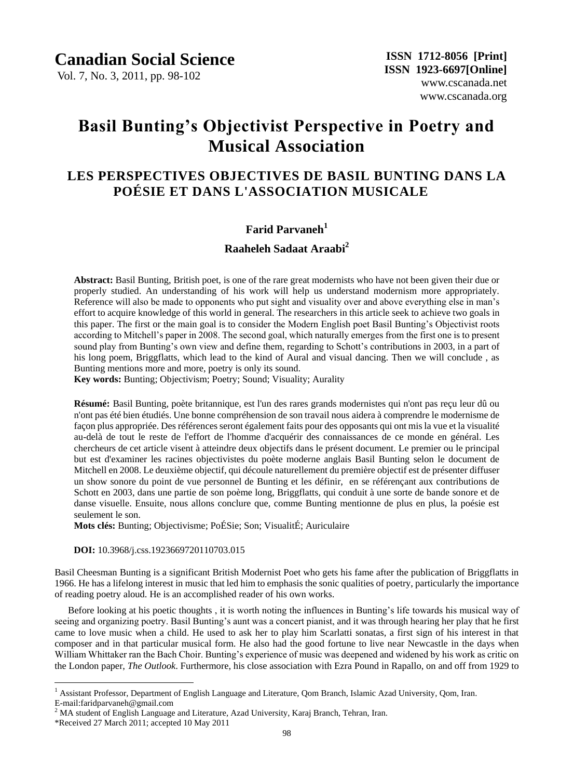Vol. 7, No. 3, 2011, pp. 98-102

# **Basil Bunting's Objectivist Perspective in Poetry and Musical Association**

# **LES PERSPECTIVES OBJECTIVES DE BASIL BUNTING DANS LA POÉSIE ET DANS L'ASSOCIATION MUSICALE**

### **Farid Parvaneh<sup>1</sup>**

## **Raaheleh Sadaat Araabi<sup>2</sup>**

**Abstract:** Basil Bunting, British poet, is one of the rare great modernists who have not been given their due or properly studied. An understanding of his work will help us understand modernism more appropriately. Reference will also be made to opponents who put sight and visuality over and above everything else in man"s effort to acquire knowledge of this world in general. The researchers in this article seek to achieve two goals in this paper. The first or the main goal is to consider the Modern English poet Basil Bunting"s Objectivist roots according to Mitchell"s paper in 2008. The second goal, which naturally emerges from the first one is to present sound play from Bunting's own view and define them, regarding to Schott's contributions in 2003, in a part of his long poem, Briggflatts, which lead to the kind of Aural and visual dancing. Then we will conclude , as Bunting mentions more and more, poetry is only its sound.

**Key words:** Bunting; Objectivism; Poetry; Sound; Visuality; Aurality

**Résumé:** Basil Bunting, poète britannique, est l'un des rares grands modernistes qui n'ont pas reçu leur dû ou n'ont pas été bien étudiés. Une bonne compréhension de son travail nous aidera à comprendre le modernisme de fa con plus appropri ée. Des références seront également faits pour des opposants qui ont mis la vue et la visualité au-delà de tout le reste de l'effort de l'homme d'acquérir des connaissances de ce monde en général. Les chercheurs de cet article visent à atteindre deux objectifs dans le présent document. Le premier ou le principal but est d'examiner les racines objectivistes du poète moderne anglais Basil Bunting selon le document de Mitchell en 2008. Le deuxième objectif, qui découle naturellement du première objectif est de présenter diffuser un show sonore du point de vue personnel de Bunting et les définir, en se référençant aux contributions de Schott en 2003, dans une partie de son poème long, Briggflatts, qui conduit à une sorte de bande sonore et de danse visuelle. Ensuite, nous allons conclure que, comme Bunting mentionne de plus en plus, la poésie est seulement le son.

**Mots clés:** Bunting; Objectivisme; PoÉSie; Son; VisualitÉ; Auriculaire

 **DOI:** 10.3968/j.css.1923669720110703.015

Basil Cheesman Bunting is a significant British Modernist Poet who gets his fame after the publication of Briggflatts in 1966. He has a lifelong interest in music that led him to emphasis the sonic qualities of poetry, particularly the importance of reading poetry aloud. He is an accomplished reader of his own works.

Before looking at his poetic thoughts , it is worth noting the influences in Bunting"s life towards his musical way of seeing and organizing poetry. Basil Bunting"s aunt was a concert pianist, and it was through hearing her play that he first came to love music when a child. He used to ask her to play him Scarlatti sonatas, a first sign of his interest in that composer and in that particular musical form. He also had the good fortune to live near Newcastle in the days when William Whittaker ran the Bach Choir. Bunting's experience of music was deepened and widened by his work as critic on the London paper, *The Outlook*. Furthermore, his close association with Ezra Pound in Rapallo, on and off from 1929 to

 $\overline{a}$ 

<sup>&</sup>lt;sup>1</sup> Assistant Professor, Department of English Language and Literature, Oom Branch, Islamic Azad University, Oom, Iran. E-mail:faridparvaneh@gmail.com

 $<sup>2</sup>$  MA student of English Language and Literature, Azad University, Karaj Branch, Tehran, Iran.</sup>

<sup>\*</sup>Received 27 March 2011; accepted 10 May 2011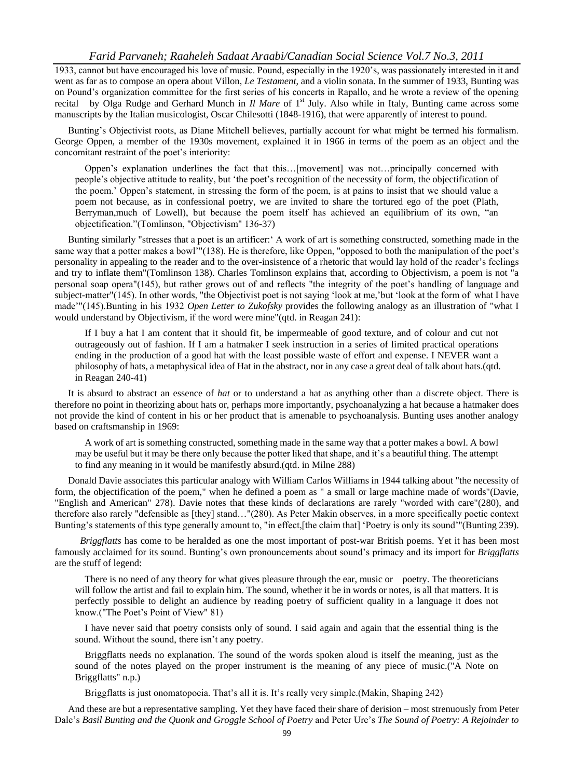1933, cannot but have encouraged his love of music. Pound, especially in the 1920"s, was passionately interested in it and went as far as to compose an opera about Villon, *Le Testament*, and a violin sonata. In the summer of 1933, Bunting was on Pound"s organization committee for the first series of his concerts in Rapallo, and he wrote a review of the opening recital by Olga Rudge and Gerhard Munch in *Il Mare* of 1<sup>st</sup> July. Also while in Italy, Bunting came across some manuscripts by the Italian musicologist, Oscar Chilesotti (1848-1916), that were apparently of interest to pound.

Bunting's Objectivist roots, as Diane Mitchell believes, partially account for what might be termed his formalism. George Oppen, a member of the 1930s movement, explained it in 1966 in terms of the poem as an object and the concomitant restraint of the poet's interiority:

Oppen"s explanation underlines the fact that this…[movement] was not…principally concerned with people"s objective attitude to reality, but "the poet"s recognition of the necessity of form, the objectification of the poem." Oppen"s statement, in stressing the form of the poem, is at pains to insist that we should value a poem not because, as in confessional poetry, we are invited to share the tortured ego of the poet (Plath, Berryman,much of Lowell), but because the poem itself has achieved an equilibrium of its own, "an objectification."(Tomlinson, "Objectivism" 136-37)

Bunting similarly "stresses that a poet is an artificer:" A work of art is something constructed, something made in the same way that a potter makes a bowl'''(138). He is therefore, like Oppen, "opposed to both the manipulation of the poet's personality in appealing to the reader and to the over-insistence of a rhetoric that would lay hold of the reader"s feelings and try to inflate them"(Tomlinson 138). Charles Tomlinson explains that, according to Objectivism, a poem is not "a personal soap opera"(145), but rather grows out of and reflects "the integrity of the poet"s handling of language and subject-matter"(145). In other words, "the Objectivist poet is not saying "look at me,"but "look at the form of what I have made""(145).Bunting in his 1932 *Open Letter to Zukofsky* provides the following analogy as an illustration of "what I would understand by Objectivism, if the word were mine"(qtd. in Reagan 241):

If I buy a hat I am content that it should fit, be impermeable of good texture, and of colour and cut not outrageously out of fashion. If I am a hatmaker I seek instruction in a series of limited practical operations ending in the production of a good hat with the least possible waste of effort and expense. I NEVER want a philosophy of hats, a metaphysical idea of Hat in the abstract, nor in any case a great deal of talk about hats.(qtd. in Reagan 240-41)

It is absurd to abstract an essence of *hat* or to understand a hat as anything other than a discrete object. There is therefore no point in theorizing about hats or, perhaps more importantly, psychoanalyzing a hat because a hatmaker does not provide the kind of content in his or her product that is amenable to psychoanalysis. Bunting uses another analogy based on craftsmanship in 1969:

A work of art is something constructed, something made in the same way that a potter makes a bowl. A bowl may be useful but it may be there only because the potter liked that shape, and it's a beautiful thing. The attempt to find any meaning in it would be manifestly absurd.(qtd. in Milne 288)

Donald Davie associates this particular analogy with William Carlos Williams in 1944 talking about "the necessity of form, the objectification of the poem," when he defined a poem as " a small or large machine made of words"(Davie, "English and American" 278). Davie notes that these kinds of declarations are rarely "worded with care"(280), and therefore also rarely "defensible as [they] stand…"(280). As Peter Makin observes, in a more specifically poetic context Bunting's statements of this type generally amount to, "in effect, [the claim that] 'Poetry is only its sound'"(Bunting 239).

 *Briggflatts* has come to be heralded as one the most important of post-war British poems. Yet it has been most famously acclaimed for its sound. Bunting"s own pronouncements about sound"s primacy and its import for *Briggflatts* are the stuff of legend:

There is no need of any theory for what gives pleasure through the ear, music or poetry. The theoreticians will follow the artist and fail to explain him. The sound, whether it be in words or notes, is all that matters. It is perfectly possible to delight an audience by reading poetry of sufficient quality in a language it does not know.("The Poet's Point of View" 81)

I have never said that poetry consists only of sound. I said again and again that the essential thing is the sound. Without the sound, there isn't any poetry.

Briggflatts needs no explanation. The sound of the words spoken aloud is itself the meaning, just as the sound of the notes played on the proper instrument is the meaning of any piece of music.("A Note on Briggflatts" n.p.)

Briggflatts is just onomatopoeia. That's all it is. It's really very simple. (Makin, Shaping 242)

And these are but a representative sampling. Yet they have faced their share of derision – most strenuously from Peter Dale"s *Basil Bunting and the Quonk and Groggle School of Poetry* and Peter Ure"s *The Sound of Poetry: A Rejoinder to*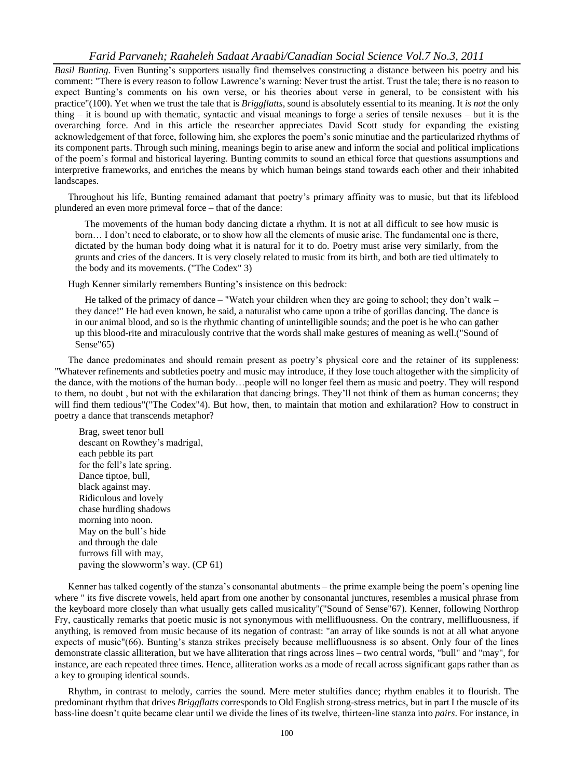#### *Farid Parvaneh; Raaheleh Sadaat Araabi/Canadian Social Science Vol.7 No.3, 2011*

*Basil Bunting.* Even Bunting"s supporters usually find themselves constructing a distance between his poetry and his comment: "There is every reason to follow Lawrence"s warning: Never trust the artist. Trust the tale; there is no reason to expect Bunting"s comments on his own verse, or his theories about verse in general, to be consistent with his practice"(100). Yet when we trust the tale that is *Briggflatts*, sound is absolutely essential to its meaning. It *is not* the only thing – it is bound up with thematic, syntactic and visual meanings to forge a series of tensile nexuses – but it is the overarching force. And in this article the researcher appreciates David Scott study for expanding the existing acknowledgement of that force, following him, she explores the poem"s sonic minutiae and the particularized rhythms of its component parts. Through such mining, meanings begin to arise anew and inform the social and political implications of the poem"s formal and historical layering. Bunting commits to sound an ethical force that questions assumptions and interpretive frameworks, and enriches the means by which human beings stand towards each other and their inhabited landscapes.

Throughout his life, Bunting remained adamant that poetry"s primary affinity was to music, but that its lifeblood plundered an even more primeval force – that of the dance:

The movements of the human body dancing dictate a rhythm. It is not at all difficult to see how music is born… I don"t need to elaborate, or to show how all the elements of music arise. The fundamental one is there, dictated by the human body doing what it is natural for it to do. Poetry must arise very similarly, from the grunts and cries of the dancers. It is very closely related to music from its birth, and both are tied ultimately to the body and its movements. ("The Codex" 3)

Hugh Kenner similarly remembers Bunting"s insistence on this bedrock:

He talked of the primacy of dance – "Watch your children when they are going to school; they don't walk – they dance!" He had even known, he said, a naturalist who came upon a tribe of gorillas dancing. The dance is in our animal blood, and so is the rhythmic chanting of unintelligible sounds; and the poet is he who can gather up this blood-rite and miraculously contrive that the words shall make gestures of meaning as well.("Sound of Sense"65)

The dance predominates and should remain present as poetry's physical core and the retainer of its suppleness: "Whatever refinements and subtleties poetry and music may introduce, if they lose touch altogether with the simplicity of the dance, with the motions of the human body…people will no longer feel them as music and poetry. They will respond to them, no doubt , but not with the exhilaration that dancing brings. They"ll not think of them as human concerns; they will find them tedious"("The Codex"4). But how, then, to maintain that motion and exhilaration? How to construct in poetry a dance that transcends metaphor?

 Brag, sweet tenor bull descant on Rowthey"s madrigal, each pebble its part for the fell"s late spring. Dance tiptoe, bull, black against may. Ridiculous and lovely chase hurdling shadows morning into noon. May on the bull"s hide and through the dale furrows fill with may, paving the slowworm"s way. (CP 61)

Kenner has talked cogently of the stanza"s consonantal abutments – the prime example being the poem"s opening line where " its five discrete vowels, held apart from one another by consonantal junctures, resembles a musical phrase from the keyboard more closely than what usually gets called musicality"("Sound of Sense"67). Kenner, following Northrop Fry, caustically remarks that poetic music is not synonymous with mellifluousness. On the contrary, mellifluousness, if anything, is removed from music because of its negation of contrast: "an array of like sounds is not at all what anyone expects of music"(66). Bunting"s stanza strikes precisely because mellifluousness is so absent. Only four of the lines demonstrate classic alliteration, but we have alliteration that rings across lines – two central words, "bull" and "may", for instance, are each repeated three times. Hence, alliteration works as a mode of recall across significant gaps rather than as a key to grouping identical sounds.

Rhythm, in contrast to melody, carries the sound. Mere meter stultifies dance; rhythm enables it to flourish. The predominant rhythm that drives *Briggflatts* corresponds to Old English strong-stress metrics, but in part І the muscle of its bass-line doesn"t quite became clear until we divide the lines of its twelve, thirteen-line stanza into *pairs*. For instance, in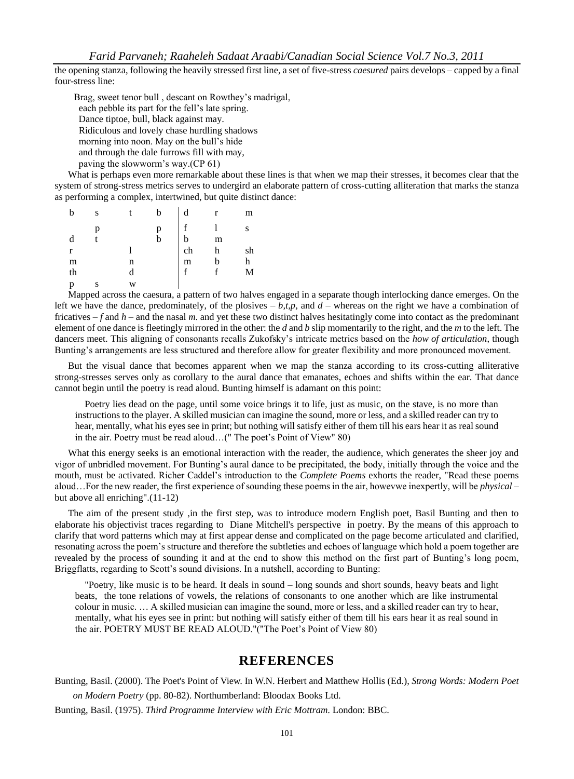the opening stanza, following the heavily stressed first line, a set of five-stress *caesured* pairs develops – capped by a final four-stress line:

 Brag, sweet tenor bull , descant on Rowthey"s madrigal, each pebble its part for the fell"s late spring. Dance tiptoe, bull, black against may. Ridiculous and lovely chase hurdling shadows morning into noon. May on the bull"s hide and through the dale furrows fill with may, paving the slowworm"s way.(CP 61)

What is perhaps even more remarkable about these lines is that when we map their stresses, it becomes clear that the system of strong-stress metrics serves to undergird an elaborate pattern of cross-cutting alliteration that marks the stanza as performing a complex, intertwined, but quite distinct dance:

| b  | S |   | d           | r | m  |
|----|---|---|-------------|---|----|
|    |   |   | $\mathbf f$ |   | S  |
| d  |   |   | b           | m |    |
| r  |   |   | ch          | h | sh |
| m  |   | n | m           |   | h  |
| th |   | d | f           | f | М  |
| p  |   | W |             |   |    |

Mapped across the caesura, a pattern of two halves engaged in a separate though interlocking dance emerges. On the left we have the dance, predominately, of the plosives  $-b, t, p$ , and  $d$  – whereas on the right we have a combination of fricatives  $-f$  and  $h$  – and the nasal *m*, and yet these two distinct halves hesitatingly come into contact as the predominant element of one dance is fleetingly mirrored in the other: the *d* and *b* slip momentarily to the right, and the *m* to the left. The dancers meet. This aligning of consonants recalls Zukofsky"s intricate metrics based on the *how of articulation*, though Bunting's arrangements are less structured and therefore allow for greater flexibility and more pronounced movement.

But the visual dance that becomes apparent when we map the stanza according to its cross-cutting alliterative strong-stresses serves only as corollary to the aural dance that emanates, echoes and shifts within the ear. That dance cannot begin until the poetry is read aloud. Bunting himself is adamant on this point:

Poetry lies dead on the page, until some voice brings it to life, just as music, on the stave, is no more than instructions to the player. A skilled musician can imagine the sound, more or less, and a skilled reader can try to hear, mentally, what his eyes see in print; but nothing will satisfy either of them till his ears hear it as real sound in the air. Poetry must be read aloud...(" The poet's Point of View" 80)

What this energy seeks is an emotional interaction with the reader, the audience, which generates the sheer joy and vigor of unbridled movement. For Bunting"s aural dance to be precipitated, the body, initially through the voice and the mouth, must be activated. Richer Caddel"s introduction to the *Complete Poems* exhorts the reader, "Read these poems aloud…For the new reader, the first experience of sounding these poems in the air, howevwe inexpertly, will be *physical* – but above all enriching".(11-12)

The aim of the present study ,in the first step, was to introduce modern English poet, Basil Bunting and then to elaborate his objectivist traces regarding to Diane Mitchell's perspective in poetry. By the means of this approach to clarify that word patterns which may at first appear dense and complicated on the page become articulated and clarified, resonating across the poem"s structure and therefore the subtleties and echoes of language which hold a poem together are revealed by the process of sounding it and at the end to show this method on the first part of Bunting"s long poem, Briggflatts, regarding to Scott's sound divisions. In a nutshell, according to Bunting:

"Poetry, like music is to be heard. It deals in sound – long sounds and short sounds, heavy beats and light beats, the tone relations of vowels, the relations of consonants to one another which are like instrumental colour in music. … A skilled musician can imagine the sound, more or less, and a skilled reader can try to hear, mentally, what his eyes see in print: but nothing will satisfy either of them till his ears hear it as real sound in the air. POETRY MUST BE READ ALOUD."("The Poet's Point of View 80)

### **REFERENCES**

Bunting, Basil. (2000). The Poet's Point of View. In W.N. Herbert and Matthew Hollis (Ed.), *Strong Words: Modern Poet on Modern Poetry* (pp. 80-82). Northumberland: Bloodax Books Ltd.

Bunting, Basil. (1975). *Third Programme Interview with Eric Mottram*. London: BBC.